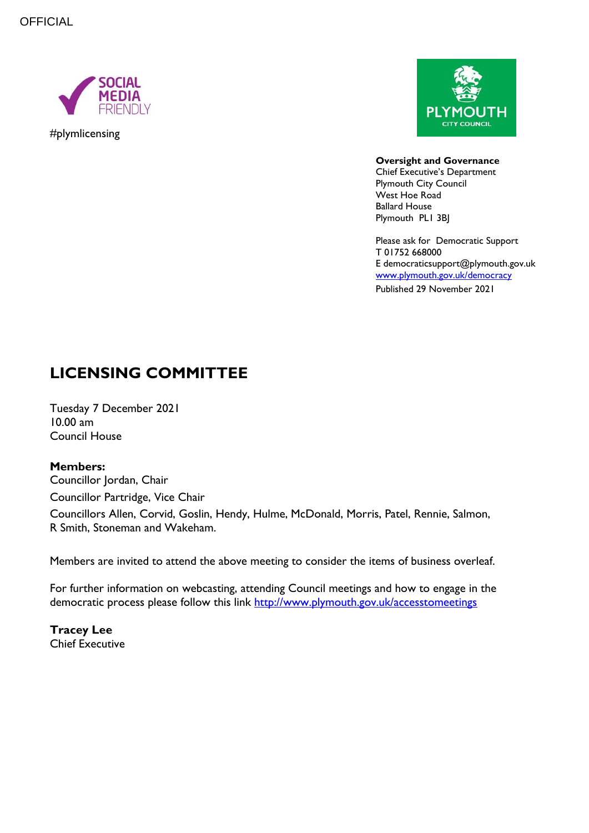

#plymlicensing



**Oversight and Governance** Chief Executive's Department Plymouth City Council West Hoe Road Ballard House Plymouth PL1 3BJ

Please ask for Democratic Support T 01752 668000 E democraticsupport@plymouth.gov.uk [www.plymouth.gov.uk/](http://www.plymouth.gov.uk/)democracy Published 29 November 2021

# **LICENSING COMMITTEE**

Tuesday 7 December 2021 10.00 am Council House

#### **Members:**

Councillor Jordan, Chair Councillor Partridge, Vice Chair Councillors Allen, Corvid, Goslin, Hendy, Hulme, McDonald, Morris, Patel, Rennie, Salmon, R Smith, Stoneman and Wakeham.

Members are invited to attend the above meeting to consider the items of business overleaf.

For further information on webcasting, attending Council meetings and how to engage in the democratic process please follow this link<http://www.plymouth.gov.uk/accesstomeetings>

**Tracey Lee** Chief Executive